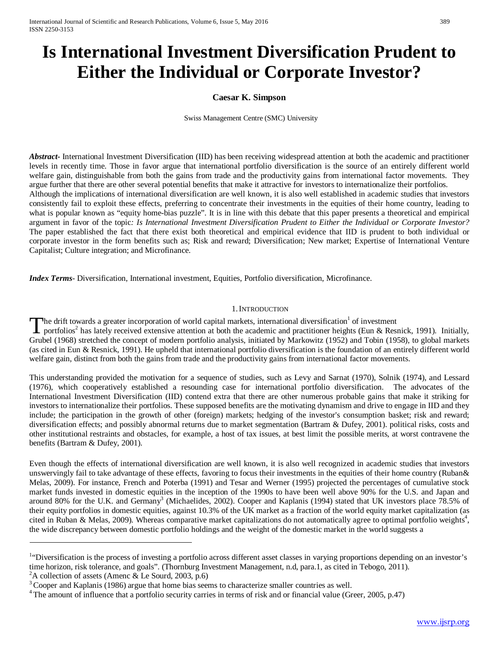# **Is International Investment Diversification Prudent to Either the Individual or Corporate Investor?**

## **Caesar K. Simpson**

Swiss Management Centre (SMC) University

*Abstract***-** International Investment Diversification (IID) has been receiving widespread attention at both the academic and practitioner levels in recently time. Those in favor argue that international portfolio diversification is the source of an entirely different world welfare gain, distinguishable from both the gains from trade and the productivity gains from international factor movements. They argue further that there are other several potential benefits that make it attractive for investors to internationalize their portfolios. Although the implications of international diversification are well known, it is also well established in academic studies that investors consistently fail to exploit these effects, preferring to concentrate their investments in the equities of their home country, leading to what is popular known as "equity home-bias puzzle". It is in line with this debate that this paper presents a theoretical and empirical argument in favor of the topic*: Is International Investment Diversification Prudent to Either the Individual or Corporate Investor?* The paper established the fact that there exist both theoretical and empirical evidence that IID is prudent to both individual or corporate investor in the form benefits such as; Risk and reward; Diversification; New market; Expertise of International Venture Capitalist; Culture integration; and Microfinance.

*Index Terms*- Diversification, International investment, Equities, Portfolio diversification, Microfinance.

#### 1.INTRODUCTION

The drift towards a greater incorporation of world capital markets, international diversification<sup>1</sup> of investment The drift towards a greater incorporation of world capital markets, international diversification<sup>1</sup> of investment<br>
portfolios<sup>2</sup> has lately received extensive attention at both the academic and practitioner heights (Eun & Grubel (1968) stretched the concept of modern portfolio analysis, initiated by Markowitz (1952) and Tobin (1958), to global markets (as cited in Eun & Resnick, 1991). He upheld that international portfolio diversification is the foundation of an entirely different world welfare gain, distinct from both the gains from trade and the productivity gains from international factor movements.

This understanding provided the motivation for a sequence of studies, such as Levy and Sarnat (1970), Solnik (1974), and Lessard (1976), which cooperatively established a resounding case for international portfolio diversification. The advocates of the International Investment Diversification (IID) contend extra that there are other numerous probable gains that make it striking for investors to internationalize their portfolios. These supposed benefits are the motivating dynamism and drive to engage in IID and they include; the participation in the growth of other (foreign) markets; hedging of the investor's consumption basket; risk and reward; diversification effects; and possibly abnormal returns due to market segmentation (Bartram & Dufey, 2001). political risks, costs and other institutional restraints and obstacles, for example, a host of tax issues, at best limit the possible merits, at worst contravene the benefits (Bartram & Dufey, 2001).

Even though the effects of international diversification are well known, it is also well recognized in academic studies that investors unswervingly fail to take advantage of these effects, favoring to focus their investments in the equities of their home country (Ruban& Melas, 2009). For instance, French and Poterba (1991) and Tesar and Werner (1995) projected the percentages of cumulative stock market funds invested in domestic equities in the inception of the 1990s to have been well above 90% for the U.S. and Japan and around 80% for the U.K. and Germany<sup>3</sup> (Michaelides, 2002). Cooper and Kaplanis (1994) stated that UK investors place 78.5% of their equity portfolios in domestic equities, against 10.3% of the UK market as a fraction of the world equity market capitalization (as cited in Ruban & Melas, 2009). Whereas comparative market capitalizations do not automatically agree to optimal portfolio weights<sup>4</sup>, the wide discrepancy between domestic portfolio holdings and the weight of the domestic market in the world suggests a

<sup>&</sup>lt;sup>1.</sup> Diversification is the process of investing a portfolio across different asset classes in varying proportions depending on an investor's time horizon, risk tolerance, and goals". (Thornburg Investment Management, n.d, para.1, as cited in Tebogo, 2011).<br><sup>2</sup>A collection of assets (Amenc & Le Sourd, 2003, p.6)

 ${}^{3}$ Cooper and Kaplanis (1986) argue that home bias seems to characterize smaller countries as well.

<sup>&</sup>lt;sup>4</sup> The amount of influence that a portfolio security carries in terms of risk and or financial value (Greer, 2005, p.47)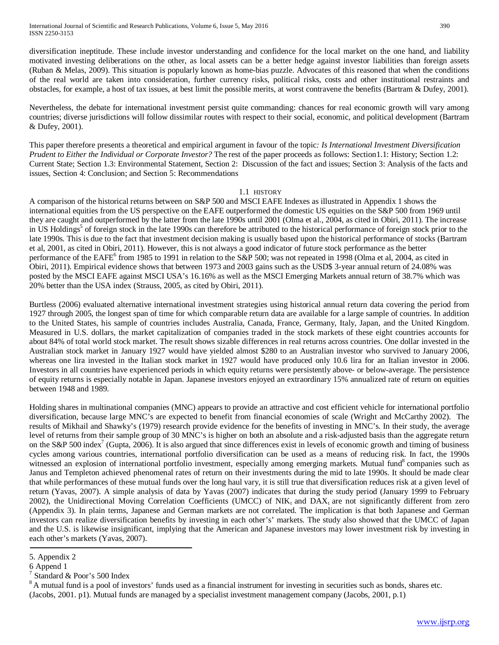diversification ineptitude. These include investor understanding and confidence for the local market on the one hand, and liability motivated investing deliberations on the other, as local assets can be a better hedge against investor liabilities than foreign assets (Ruban & Melas, 2009). This situation is popularly known as home-bias puzzle. Advocates of this reasoned that when the conditions of the real world are taken into consideration, further currency risks, political risks, costs and other institutional restraints and obstacles, for example, a host of tax issues, at best limit the possible merits, at worst contravene the benefits (Bartram & Dufey, 2001).

Nevertheless, the debate for international investment persist quite commanding: chances for real economic growth will vary among countries; diverse jurisdictions will follow dissimilar routes with respect to their social, economic, and political development (Bartram & Dufey, 2001).

This paper therefore presents a theoretical and empirical argument in favour of the topic*: Is International Investment Diversification Prudent to Either the Individual or Corporate Investor?* The rest of the paper proceeds as follows: Section1.1: History; Section 1.2: Current State; Section 1.3: Environmental Statement, Section 2: Discussion of the fact and issues; Section 3: Analysis of the facts and issues, Section 4: Conclusion; and Section 5: Recommendations

#### 1.1 HISTORY

A comparison of the historical returns between on S&P 500 and MSCI EAFE Indexes as illustrated in Appendix 1 shows the international equities from the US perspective on the EAFE outperformed the domestic US equities on the S&P 500 from 1969 until they are caught and outperformed by the latter from the late 1990s until 2001 (Olma et al., 2004, as cited in Obiri, 2011). The increase in US Holdings<sup>5</sup> of foreign stock in the late 1990s can therefore be attributed to the historical performance of foreign stock prior to the late 1990s. This is due to the fact that investment decision making is usually based upon the historical performance of stocks (Bartram et al, 2001, as cited in Obiri, 2011). However, this is not always a good indicator of future stock performance as the better performance of the EAFE<sup>6</sup> from 1985 to 1991 in relation to the S&P 500; was not repeated in 1998 (Olma et al, 2004, as cited in Obiri, 2011). Empirical evidence shows that between 1973 and 2003 gains such as the USD\$ 3-year annual return of 24.08% was posted by the MSCI EAFE against MSCI USA's 16.16% as well as the MSCI Emerging Markets annual return of 38.7% which was 20% better than the USA index (Strauss, 2005, as cited by Obiri, 2011).

Burtless (2006) evaluated alternative international investment strategies using historical annual return data covering the period from 1927 through 2005, the longest span of time for which comparable return data are available for a large sample of countries. In addition to the United States, his sample of countries includes Australia, Canada, France, Germany, Italy, Japan, and the United Kingdom. Measured in U.S. dollars, the market capitalization of companies traded in the stock markets of these eight countries accounts for about 84% of total world stock market. The result shows sizable differences in real returns across countries. One dollar invested in the Australian stock market in January 1927 would have yielded almost \$280 to an Australian investor who survived to January 2006, whereas one lira invested in the Italian stock market in 1927 would have produced only 10.6 lira for an Italian investor in 2006. Investors in all countries have experienced periods in which equity returns were persistently above- or below-average. The persistence of equity returns is especially notable in Japan. Japanese investors enjoyed an extraordinary 15% annualized rate of return on equities between 1948 and 1989.

Holding shares in multinational companies (MNC) appears to provide an attractive and cost efficient vehicle for international portfolio diversification, because large MNC's are expected to benefit from financial economies of scale (Wright and McCarthy 2002). The results of Mikhail and Shawky's (1979) research provide evidence for the benefits of investing in MNC's. In their study, the average level of returns from their sample group of 30 MNC's is higher on both an absolute and a risk-adjusted basis than the aggregate return on the S&P 500 index<sup>7</sup> (Gupta, 2006). It is also argued that since differences exist in levels of economic growth and timing of business cycles among various countries, international portfolio diversification can be used as a means of reducing risk. In fact, the 1990s witnessed an explosion of international portfolio investment, especially among emerging markets. Mutual fund<sup>8</sup> companies such as Janus and Templeton achieved phenomenal rates of return on their investments during the mid to late 1990s. It should be made clear that while performances of these mutual funds over the long haul vary, it is still true that diversification reduces risk at a given level of return (Yavas, 2007). A simple analysis of data by Yavas (2007) indicates that during the study period (January 1999 to February 2002), the Unidirectional Moving Correlation Coefficients (UMCC) of  $NIK_t$  and  $DAX_t$  are not significantly different from zero (Appendix 3). In plain terms, Japanese and German markets are not correlated. The implication is that both Japanese and German investors can realize diversification benefits by investing in each other's' markets. The study also showed that the UMCC of Japan and the U.S. is likewise insignificant, implying that the American and Japanese investors may lower investment risk by investing in each other's markets (Yavas, 2007).

<sup>5.</sup> Appendix 2

<sup>6</sup> Append 1

 $7$  Standard & Poor's 500 Index

 $8$  A mutual fund is a pool of investors' funds used as a financial instrument for investing in securities such as bonds, shares etc. (Jacobs, 2001. p1). Mutual funds are managed by a specialist investment management company (Jacobs, 2001, p.1)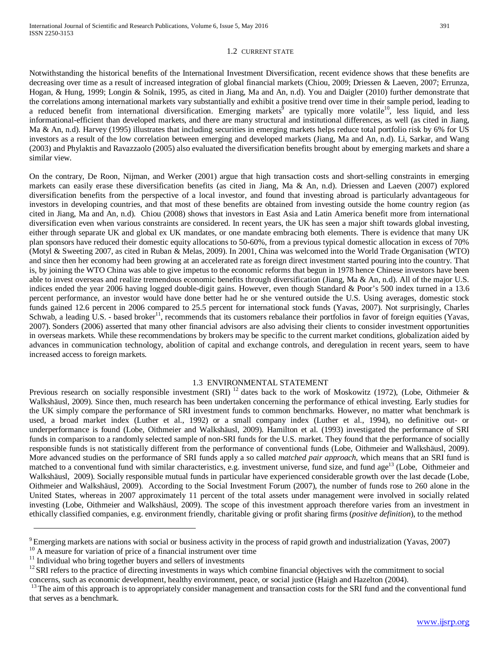### 1.2 CURRENT STATE

Notwithstanding the historical benefits of the International Investment Diversification, recent evidence shows that these benefits are decreasing over time as a result of increased integration of global financial markets (Chiou, 2009; Driessen & Laeven, 2007; Errunza, Hogan, & Hung, 1999; Longin & Solnik, 1995, as cited in Jiang, Ma and An, n.d). You and Daigler (2010) further demonstrate that the correlations among international markets vary substantially and exhibit a positive trend over time in their sample period, leading to a reduced benefit from international diversification. Emerging markets<sup> $\bar{9}$ </sup> are typically more volatile<sup>10</sup>, less liquid, and less informational-efficient than developed markets, and there are many structural and institutional differences, as well (as cited in Jiang, Ma & An, n.d). Harvey (1995) illustrates that including securities in emerging markets helps reduce total portfolio risk by 6% for US investors as a result of the low correlation between emerging and developed markets (Jiang, Ma and An, n.d). Li, Sarkar, and Wang (2003) and Phylaktis and Ravazzaolo (2005) also evaluated the diversification benefits brought about by emerging markets and share a similar view.

On the contrary, De Roon, Nijman, and Werker (2001) argue that high transaction costs and short-selling constraints in emerging markets can easily erase these diversification benefits (as cited in Jiang, Ma & An, n.d). Driessen and Laeven (2007) explored diversification benefits from the perspective of a local investor, and found that investing abroad is particularly advantageous for investors in developing countries, and that most of these benefits are obtained from investing outside the home country region (as cited in Jiang, Ma and An, n.d). Chiou (2008) shows that investors in East Asia and Latin America benefit more from international diversification even when various constraints are considered. In recent years, the UK has seen a major shift towards global investing, either through separate UK and global ex UK mandates, or one mandate embracing both elements. There is evidence that many UK plan sponsors have reduced their domestic equity allocations to 50-60%, from a previous typical domestic allocation in excess of 70% (Motyl & Sweeting 2007, as cited in Ruban & Melas, 2009). In 2001, China was welcomed into the World Trade Organisation (WTO) and since then her economy had been growing at an accelerated rate as foreign direct investment started pouring into the country. That is, by joining the WTO China was able to give impetus to the economic reforms that begun in 1978 hence Chinese investors have been able to invest overseas and realize tremendous economic benefits through diversification (Jiang, Ma & An, n.d). All of the major U.S. indices ended the year 2006 having logged double-digit gains. However, even though Standard & Poor's 500 index turned in a 13.6 percent performance, an investor would have done better had he or she ventured outside the U.S. Using averages, domestic stock funds gained 12.6 percent in 2006 compared to 25.5 percent for international stock funds (Yavas, 2007). Not surprisingly, Charles Schwab, a leading U.S. - based broker<sup>11</sup>, recommends that its customers rebalance their portfolios in favor of foreign equities (Yavas, 2007). Sonders (2006) asserted that many other financial advisors are also advising their clients to consider investment opportunities in overseas markets. While these recommendations by brokers may be specific to the current market conditions, globalization aided by advances in communication technology, abolition of capital and exchange controls, and deregulation in recent years, seem to have increased access to foreign markets.

## 1.3 ENVIRONMENTAL STATEMENT

Previous research on socially responsible investment (SRI)<sup>12</sup> dates back to the work of Moskowitz (1972), (Lobe, Oithmeier & Walkshäusl, 2009). Since then, much research has been undertaken concerning the performance of ethical investing. Early studies for the UK simply compare the performance of SRI investment funds to common benchmarks. However, no matter what benchmark is used, a broad market index (Luther et al., 1992) or a small company index (Luther et al., 1994), no definitive out- or underperformance is found (Lobe, Oithmeier and Walkshäusl, 2009). Hamilton et al. (1993) investigated the performance of SRI funds in comparison to a randomly selected sample of non-SRI funds for the U.S. market. They found that the performance of socially responsible funds is not statistically different from the performance of conventional funds (Lobe, Oithmeier and Walkshäusl, 2009). More advanced studies on the performance of SRI funds apply a so called *matched pair approach*, which means that an SRI fund is matched to a conventional fund with similar characteristics, e.g. investment universe, fund size, and fund age<sup>13</sup> (Lobe, Oithmeier and Walkshäusl, 2009). Socially responsible mutual funds in particular have experienced considerable growth over the last decade (Lobe, Oithmeier and Walkshäusl, 2009). According to the Social Investment Forum (2007), the number of funds rose to 260 alone in the United States, whereas in 2007 approximately 11 percent of the total assets under management were involved in socially related investing (Lobe, Oithmeier and Walkshäusl, 2009). The scope of this investment approach therefore varies from an investment in ethically classified companies, e.g. environment friendly, charitable giving or profit sharing firms (*positive definition*), to the method

<sup>&</sup>lt;sup>9</sup> Emerging markets are nations with social or business activity in the process of rapid [growth](http://en.wikipedia.org/wiki/Economic_growth) and [industrialization](http://en.wikipedia.org/wiki/Industrialization) (Yavas, 2007)<br><sup>10</sup> A measure for variation of price of a financial instrument over time<br><sup>11</sup> Individua

concerns, such as economic development, healthy environment, peace, or social justice (Haigh and Hazelton (2004).

<sup>&</sup>lt;sup>13</sup> The aim of this approach is to appropriately consider management and transaction costs for the SRI fund and the conventional fund that serves as a benchmark.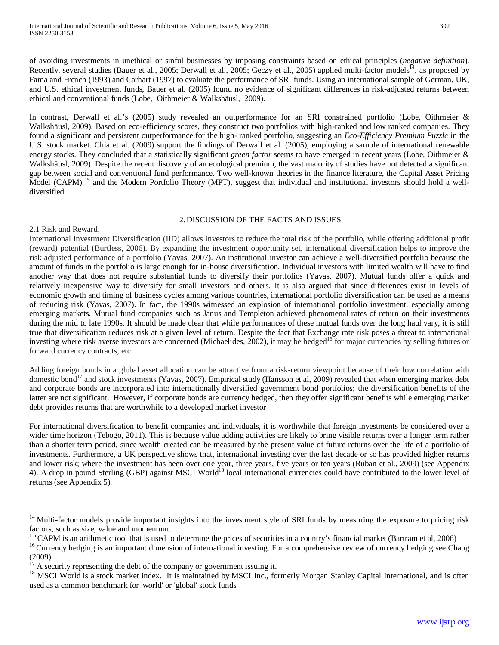of avoiding investments in unethical or sinful businesses by imposing constraints based on ethical principles (*negative definition*). Recently, several studies (Bauer et al., 2005; Derwall et al., 2005; Geczy et al., 2005) applied multi-factor models<sup>14</sup>, as proposed by Fama and French (1993) and Carhart (1997) to evaluate the performance of SRI funds. Using an international sample of German, UK, and U.S. ethical investment funds, Bauer et al. (2005) found no evidence of significant differences in risk-adjusted returns between ethical and conventional funds (Lobe, Oithmeier & Walkshäusl, 2009).

In contrast, Derwall et al.'s (2005) study revealed an outperformance for an SRI constrained portfolio (Lobe, Oithmeier & Walkshäusl, 2009). Based on eco-efficiency scores, they construct two portfolios with high-ranked and low ranked companies. They found a significant and persistent outperformance for the high- ranked portfolio, suggesting an *Eco-Efficiency Premium Puzzle* in the U.S. stock market. Chia et al. (2009) support the findings of Derwall et al. (2005), employing a sample of international renewable energy stocks. They concluded that a statistically significant *green factor* seems to have emerged in recent years (Lobe, Oithmeier & Walkshäusl, 2009). Despite the recent discovery of an ecological premium, the vast majority of studies have not detected a significant gap between social and conventional fund performance. Two well-known theories in the finance literature, the Capital Asset Pricing Model (CAPM)<sup>15</sup> and the Modern Portfolio Theory (MPT), suggest that individual and institutional investors should hold a welldiversified

### 2.DISCUSSION OF THE FACTS AND ISSUES

#### 2.1 Risk and Reward.

International Investment Diversification (IID) allows investors to reduce the total risk of the portfolio, while offering additional profit (reward) potential (Burtless, 2006). By expanding the investment opportunity set, international diversification helps to improve the risk adjusted performance of a portfolio (Yavas, 2007). An institutional investor can achieve a well-diversified portfolio because the amount of funds in the portfolio is large enough for in-house diversification. Individual investors with limited wealth will have to find another way that does not require substantial funds to diversify their portfolios (Yavas, 2007). Mutual funds offer a quick and relatively inexpensive way to diversify for small investors and others. It is also argued that since differences exist in levels of economic growth and timing of business cycles among various countries, international portfolio diversification can be used as a means of reducing risk (Yavas, 2007). In fact, the 1990s witnessed an explosion of international portfolio investment, especially among emerging markets. Mutual fund companies such as Janus and Templeton achieved phenomenal rates of return on their investments during the mid to late 1990s. It should be made clear that while performances of these mutual funds over the long haul vary, it is still true that diversification reduces risk at a given level of return. Despite the fact that Exchange rate risk poses a threat to international investing where risk averse investors are concerned (Michaelides, 2002), it may be hedged<sup>16</sup> for major currencies by selling futures or forward currency contracts, etc.

Adding foreign bonds in a global asset allocation can be attractive from a risk-return viewpoint because of their low correlation with domestic bond<sup>17</sup> and stock investments (Yavas, 2007). Empirical study (Hansson et al, 2009) revealed that when emerging market debt and corporate bonds are incorporated into internationally diversified government bond portfolios; the diversification benefits of the latter are not significant. However, if corporate bonds are currency hedged, then they offer significant benefits while emerging market debt provides returns that are worthwhile to a developed market investor

For international diversification to benefit companies and individuals, it is worthwhile that foreign investments be considered over a wider time horizon (Tebogo, 2011). This is because value adding activities are likely to bring visible returns over a longer term rather than a shorter term period, since wealth created can be measured by the present value of future returns over the life of a portfolio of investments. Furthermore, a UK perspective shows that, international investing over the last decade or so has provided higher returns and lower risk; where the investment has been over one year, three years, five years or ten years (Ruban et al., 2009) (see Appendix 4). A drop in pound Sterling (GBP) against MSCI World<sup>18</sup> local international currencies could have contributed to the lower level of returns (see Appendix 5).

 $14$  Multi-factor models provide important insights into the investment style of SRI funds by measuring the exposure to pricing risk factors, such as size, value and momentum.

<sup>&</sup>lt;sup>15</sup> CAPM is an arithmetic tool that is used to determine the prices of securities in a country's financial market (Bartram et al, 2006)<br><sup>16</sup> Currency hedging is an important dimension of international investing. For a co

<sup>(2009).&</sup>lt;br> $^{17}$  A security representing the debt of the company or government issuing it.

<sup>&</sup>lt;sup>18</sup> MSCI World is a [stock market index.](http://en.wikipedia.org/wiki/Stock_market_index) It is maintained by [MSCI Inc.,](http://en.wikipedia.org/wiki/MSCI_Inc.) formerly Morgan Stanley Capital International, and is often used as a common benchmark for 'world' or 'global' [stock funds](http://en.wikipedia.org/wiki/Stock_fund)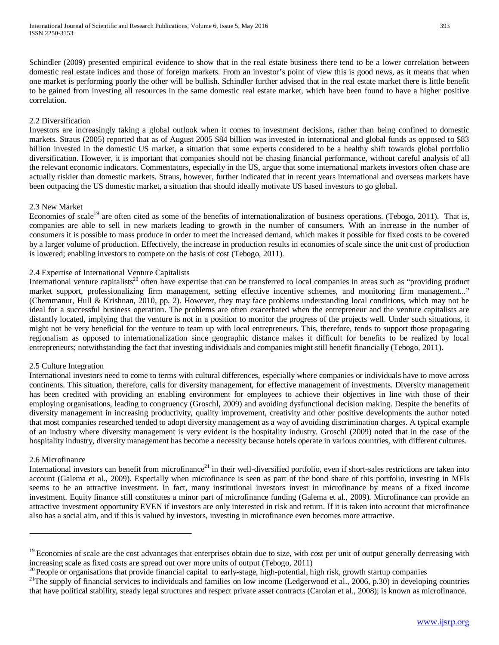Schindler (2009) presented empirical evidence to show that in the real estate business there tend to be a lower correlation between domestic real estate indices and those of foreign markets. From an investor's point of view this is good news, as it means that when one market is performing poorly the other will be bullish. Schindler further advised that in the real estate market there is little benefit to be gained from investing all resources in the same domestic real estate market, which have been found to have a higher positive correlation.

## 2.2 Diversification

Investors are increasingly taking a global outlook when it comes to investment decisions, rather than being confined to domestic markets. Straus (2005) reported that as of August 2005 \$84 billion was invested in international and global funds as opposed to \$83 billion invested in the domestic US market, a situation that some experts considered to be a healthy shift towards global portfolio diversification. However, it is important that companies should not be chasing financial performance, without careful analysis of all the relevant economic indicators. Commentators, especially in the US, argue that some international markets investors often chase are actually riskier than domestic markets. Straus, however, further indicated that in recent years international and overseas markets have been outpacing the US domestic market, a situation that should ideally motivate US based investors to go global.

#### 2.3 New Market

Economies of scale<sup>19</sup> are often cited as some of the benefits of internationalization of business operations. (Tebogo, 2011). That is, companies are able to sell in new markets leading to growth in the number of consumers. With an increase in the number of consumers it is possible to mass produce in order to meet the increased demand, which makes it possible for fixed costs to be covered by a larger volume of production. Effectively, the increase in production results in economies of scale since the unit cost of production is lowered; enabling investors to compete on the basis of cost (Tebogo, 2011).

## 2.4 Expertise of International Venture Capitalists

International venture capitalists<sup>20</sup> often have expertise that can be transferred to local companies in areas such as "providing product market support, professionalizing firm management, setting effective incentive schemes, and monitoring firm management..." (Chemmanur, Hull & Krishnan, 2010, pp. 2). However, they may face problems understanding local conditions, which may not be ideal for a successful business operation. The problems are often exacerbated when the entrepreneur and the venture capitalists are distantly located, implying that the venture is not in a position to monitor the progress of the projects well. Under such situations, it might not be very beneficial for the venture to team up with local entrepreneurs. This, therefore, tends to support those propagating regionalism as opposed to internationalization since geographic distance makes it difficult for benefits to be realized by local entrepreneurs; notwithstanding the fact that investing individuals and companies might still benefit financially (Tebogo, 2011).

#### 2.5 Culture Integration

International investors need to come to terms with cultural differences, especially where companies or individuals have to move across continents. This situation, therefore, calls for diversity management, for effective management of investments. Diversity management has been credited with providing an enabling environment for employees to achieve their objectives in line with those of their employing organisations, leading to congruency (Groschl, 2009) and avoiding dysfunctional decision making. Despite the benefits of diversity management in increasing productivity, quality improvement, creativity and other positive developments the author noted that most companies researched tended to adopt diversity management as a way of avoiding discrimination charges. A typical example of an industry where diversity management is very evident is the hospitality industry. Groschl (2009) noted that in the case of the hospitality industry, diversity management has become a necessity because hotels operate in various countries, with different cultures.

#### 2.6 Microfinance

International investors can benefit from microfinance<sup>21</sup> in their well-diversified portfolio, even if short-sales restrictions are taken into account (Galema et al., 2009). Especially when microfinance is seen as part of the bond share of this portfolio, investing in MFIs seems to be an attractive investment. In fact, many institutional investors invest in microfinance by means of a fixed income investment. Equity finance still constitutes a minor part of microfinance funding (Galema et al., 2009). Microfinance can provide an attractive investment opportunity EVEN if investors are only interested in risk and return. If it is taken into account that microfinance also has a social aim, and if this is valued by investors, investing in microfinance even becomes more attractive.

 $19$  Economies of scale are the cost advantages that enterprises obtain due to size, with cost per unit of output generally decreasing with increasing scale as fixed costs are spread out over more units of output (Tebogo,

<sup>&</sup>lt;sup>20</sup> People or organisations that provide [financial capital](http://en.wikipedia.org/wiki/Financial_capital) to early-stage, high-potential, high risk, [growth](http://en.wikipedia.org/wiki/Growth_investing) [startup companies](http://en.wikipedia.org/wiki/Startup_company)  $^{21}$ The supply of financial services to individuals and families on low income (Ledgerwood

that have political stability, steady legal structures and respect private asset contracts (Carolan et al., 2008); is known as microfinance.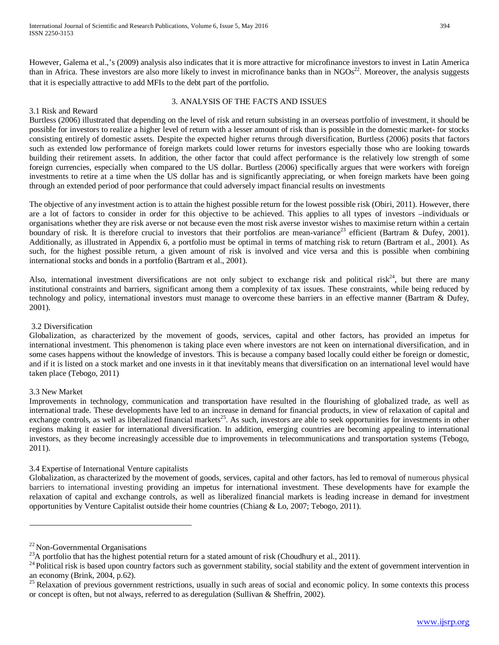However, Galema et al.,'s (2009) analysis also indicates that it is more attractive for microfinance investors to invest in Latin America than in Africa. These investors are also more likely to invest in microfinance banks than in  $NGOs<sup>22</sup>$ . Moreover, the analysis suggests that it is especially attractive to add MFIs to the debt part of the portfolio.

### 3. ANALYSIS OF THE FACTS AND ISSUES

## 3.1 Risk and Reward

Burtless (2006) illustrated that depending on the level of risk and return subsisting in an overseas portfolio of investment, it should be possible for investors to realize a higher level of return with a lesser amount of risk than is possible in the domestic market- for stocks consisting entirely of domestic assets. Despite the expected higher returns through diversification, Burtless (2006) posits that factors such as extended low performance of foreign markets could lower returns for investors especially those who are looking towards building their retirement assets. In addition, the other factor that could affect performance is the relatively low strength of some foreign currencies, especially when compared to the US dollar. Burtless (2006) specifically argues that were workers with foreign investments to retire at a time when the US dollar has and is significantly appreciating, or when foreign markets have been going through an extended period of poor performance that could adversely impact financial results on investments

The objective of any investment action is to attain the highest possible return for the lowest possible risk (Obiri, 2011). However, there are a lot of factors to consider in order for this objective to be achieved. This applies to all types of investors –individuals or organisations whether they are risk averse or not because even the most risk averse investor wishes to maximise return within a certain boundary of risk. It is therefore crucial to investors that their portfolios are mean-variance<sup>23</sup> efficient (Bartram & Dufey, 2001). Additionally, as illustrated in Appendix 6, a portfolio must be optimal in terms of matching risk to return (Bartram et al., 2001). As such, for the highest possible return, a given amount of risk is involved and vice versa and this is possible when combining international stocks and bonds in a portfolio (Bartram et al., 2001).

Also, international investment diversifications are not only subject to exchange risk and political risk<sup>24</sup>, but there are many institutional constraints and barriers, significant among them a complexity of tax issues. These constraints, while being reduced by technology and policy, international investors must manage to overcome these barriers in an effective manner (Bartram & Dufey, 2001).

## 3.2 Diversification

Globalization, as characterized by the movement of goods, services, capital and other factors, has provided an impetus for international investment. This phenomenon is taking place even where investors are not keen on international diversification, and in some cases happens without the knowledge of investors. This is because a company based locally could either be foreign or domestic, and if it is listed on a stock market and one invests in it that inevitably means that diversification on an international level would have taken place (Tebogo, 2011)

## 3.3 New Market

Improvements in technology, communication and transportation have resulted in the flourishing of globalized trade, as well as international trade. These developments have led to an increase in demand for financial products, in view of relaxation of capital and exchange controls, as well as liberalized financial markets<sup>25</sup>. As such, investors are able to seek opportunities for investments in other regions making it easier for international diversification. In addition, emerging countries are becoming appealing to international investors, as they become increasingly accessible due to improvements in telecommunications and transportation systems (Tebogo, 2011).

## 3.4 Expertise of International Venture capitalists

Globalization, as characterized by the movement of goods, services, capital and other factors, has led to removal of numerous physical barriers to international investing providing an impetus for international investment. These developments have for example the relaxation of capital and exchange controls, as well as liberalized financial markets is leading increase in demand for investment opportunities by Venture Capitalist outside their home countries (Chiang & Lo, 2007; Tebogo, 2011).

<sup>&</sup>lt;sup>22</sup> Non-Governmental Organisations<br><sup>23</sup>A portfolio that has the highest potential return for a stated amount of risk (Choudhury et al., 2011).<br><sup>24</sup> Political risk is based upon country factors such as government stabilit

an economy (Brink, 2004, p.62).  $^{25}$  Relaxation of previous government restrictions, usually in such areas of social and economic policy. In some contexts this process or concept is often, but not always, referred to as [deregulation](http://en.wikipedia.org/wiki/Deregulation) (Sullivan & Sheffrin, 2002).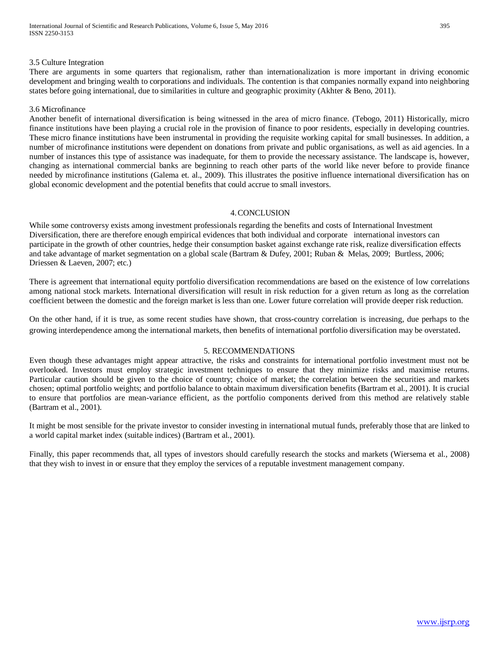#### 3.5 Culture Integration

There are arguments in some quarters that regionalism, rather than internationalization is more important in driving economic development and bringing wealth to corporations and individuals. The contention is that companies normally expand into neighboring states before going international, due to similarities in culture and geographic proximity (Akhter & Beno, 2011).

### 3.6 Microfinance

Another benefit of international diversification is being witnessed in the area of micro finance. (Tebogo, 2011) Historically, micro finance institutions have been playing a crucial role in the provision of finance to poor residents, especially in developing countries. These micro finance institutions have been instrumental in providing the requisite working capital for small businesses. In addition, a number of microfinance institutions were dependent on donations from private and public organisations, as well as aid agencies. In a number of instances this type of assistance was inadequate, for them to provide the necessary assistance. The landscape is, however, changing as international commercial banks are beginning to reach other parts of the world like never before to provide finance needed by microfinance institutions (Galema et. al., 2009). This illustrates the positive influence international diversification has on global economic development and the potential benefits that could accrue to small investors.

## 4.CONCLUSION

While some controversy exists among investment professionals regarding the benefits and costs of International Investment Diversification, there are therefore enough empirical evidences that both individual and corporate international investors can participate in the growth of other countries, hedge their consumption basket against exchange rate risk, realize diversification effects and take advantage of market segmentation on a global scale (Bartram & Dufey, 2001; Ruban & Melas, 2009; Burtless, 2006; Driessen & Laeven, 2007; etc.)

There is agreement that international equity portfolio diversification recommendations are based on the existence of low correlations among national stock markets. International diversification will result in risk reduction for a given return as long as the correlation coefficient between the domestic and the foreign market is less than one. Lower future correlation will provide deeper risk reduction.

On the other hand, if it is true, as some recent studies have shown, that cross-country correlation is increasing, due perhaps to the growing interdependence among the international markets, then benefits of international portfolio diversification may be overstated.

## 5. RECOMMENDATIONS

Even though these advantages might appear attractive, the risks and constraints for international portfolio investment must not be overlooked. Investors must employ strategic investment techniques to ensure that they minimize risks and maximise returns. Particular caution should be given to the choice of country; choice of market; the correlation between the securities and markets chosen; optimal portfolio weights; and portfolio balance to obtain maximum diversification benefits (Bartram et al., 2001). It is crucial to ensure that portfolios are mean-variance efficient, as the portfolio components derived from this method are relatively stable (Bartram et al., 2001).

It might be most sensible for the private investor to consider investing in international mutual funds, preferably those that are linked to a world capital market index (suitable indices) (Bartram et al., 2001).

Finally, this paper recommends that, all types of investors should carefully research the stocks and markets (Wiersema et al., 2008) that they wish to invest in or ensure that they employ the services of a reputable investment management company.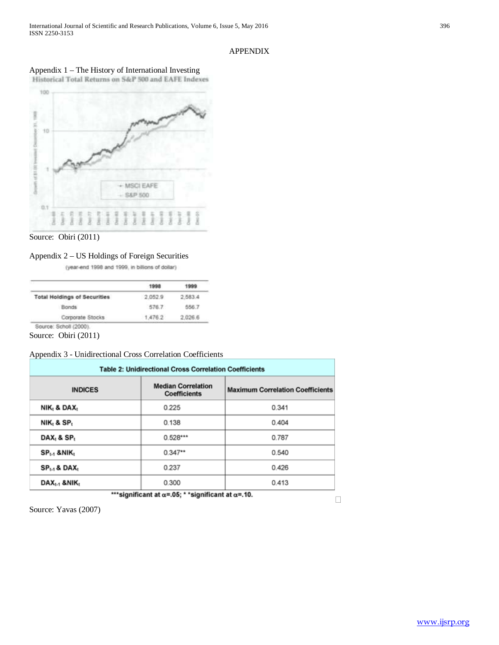## APPENDIX

## Appendix 1 – The History of International Investing



Source: Obiri (2011)

## Appendix 2 – US Holdings of Foreign Securities

(year-end 1998 and 1999, in billions of dollar)

| <b>Total Holdings of Securities</b> | 2.052.9 | 2.583.4      |
|-------------------------------------|---------|--------------|
| <b>Bonds</b>                        | 576.7   | <b>ARR 7</b> |
| Corporate Stocks                    | 1.476.2 | 2.026.6      |

Source: Obiri (2011)

## Appendix 3 - Unidirectional Cross Correlation Coefficients

| <b>Table 2: Unidirectional Cross Correlation Coefficients</b> |                                                  |                                         |  |  |  |  |  |  |
|---------------------------------------------------------------|--------------------------------------------------|-----------------------------------------|--|--|--|--|--|--|
| <b>INDICES</b>                                                | <b>Median Correlation</b><br><b>Coefficients</b> | <b>Maximum Correlation Coefficients</b> |  |  |  |  |  |  |
| NIK, & DAX,                                                   | 0.225                                            | 0.341                                   |  |  |  |  |  |  |
| $NIK_t$ & $SP_t$                                              | 0.138                                            | 0.404                                   |  |  |  |  |  |  |
| DAX <sub>1</sub> & SP <sub>1</sub>                            | $0.528***$                                       | 0.787                                   |  |  |  |  |  |  |
| $SP_{t-1}$ & NIK <sub>t</sub>                                 | $0.347**$                                        | 0.540                                   |  |  |  |  |  |  |
| $SP_{t-1}$ & DAX <sub>t</sub>                                 | 0.237                                            | 0.426                                   |  |  |  |  |  |  |
| $\mathsf{DAX}_{t-1}$ & NIK,                                   | 0.300                                            | 0.413                                   |  |  |  |  |  |  |

\*\*\* significant at α=. 05; \* \* significant at α=. 10.

 $\Box$ 

Source: Yavas (2007)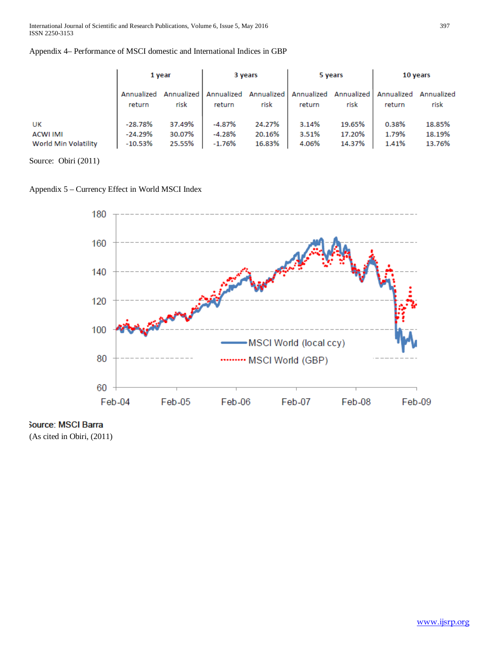|                      | 1 year               |                    | 3 years              |                    | 5 years |                               | 10 years             |                    |
|----------------------|----------------------|--------------------|----------------------|--------------------|---------|-------------------------------|----------------------|--------------------|
|                      | Annualized<br>return | Annualized<br>risk | Annualized<br>return | Annualized<br>risk | return  | Annualized Annualized<br>risk | Annualized<br>return | Annualized<br>risk |
| UK                   | $-28.78%$            | 37.49%             | $-4.87%$             | 24.27%             | 3.14%   | 19.65%                        | 0.38%                | 18.85%             |
| <b>ACWI IMI</b>      | $-24.29%$            | 30.07%             | $-4.28%$             | 20.16%             | 3.51%   | 17.20%                        | 1.79%                | 18.19%             |
| World Min Volatility | $-10.53%$            | 25.55%             | $-1.76%$             | 16.83%             | 4.06%   | 14.37%                        | 1.41%                | 13.76%             |

Source: Obiri (2011)

Appendix 5 – Currency Effect in World MSCI Index



Source: MSCI Barra

(As cited in Obiri, (2011)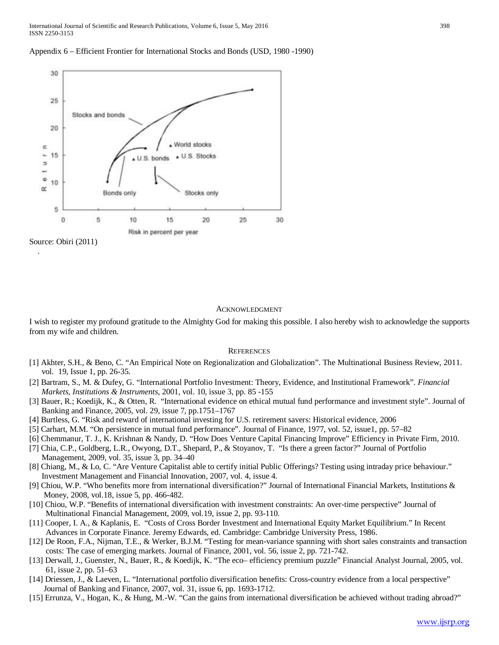International Journal of Scientific and Research Publications, Volume 6, Issue 5, May 2016 398 ISSN 2250-3153





#### ACKNOWLEDGMENT

I wish to register my profound gratitude to the Almighty God for making this possible. I also hereby wish to acknowledge the supports from my wife and children.

#### **REFERENCES**

- [1] Akhter, S.H., & Beno, C. "An Empirical Note on Regionalization and Globalization". The Multinational Business Review, 2011. vol. 19, Issue 1, pp. 26-35.
- [2] Bartram, S., M. & Dufey, G. "International Portfolio Investment: Theory, Evidence, and Institutional Framework". *Financial Markets, Institutions & Instruments*, 2001, vol. 10, issue 3, pp. 85 -155
- [3] Bauer, R.; Koedijk, K., & Otten, R. "International evidence on ethical mutual fund performance and investment style". Journal of Banking and Finance, 2005, vol. 29, issue 7, pp.1751–1767
- [4] Burtless, G. "Risk and reward of international investing for U.S. retirement savers: Historical evidence, 2006
- [5] Carhart, M.M. "On persistence in mutual fund performance". Journal of Finance, 1977, vol. 52, issue1, pp. 57–82
- [6] Chemmanur, T. J., K. Krishnan & Nandy, D. "How Does Venture Capital Financing Improve" Efficiency in Private Firm, 2010.
- [7] Chia, C.P., Goldberg, L.R., Owyong, D.T., Shepard, P., & Stoyanov, T. "Is there a green factor?" Journal of Portfolio Management, 2009, vol. 35, issue 3, pp. 34–40
- [8] Chiang, M., & Lo, C. "Are Venture Capitalist able to certify initial Public Offerings? Testing using intraday price behaviour." Investment Management and Financial Innovation, 2007, vol. 4, issue 4.
- [9] Chiou, W.P. "Who benefits more from international diversification?" Journal of International Financial Markets, Institutions & Money, 2008, vol.18, issue 5, pp. 466-482.
- [10] Chiou, W.P. "Benefits of international diversification with investment constraints: An over-time perspective" Journal of Multinational Financial Management, 2009, vol.19, issue 2, pp. 93-110.
- [11] Cooper, I. A., & Kaplanis, E. "Costs of Cross Border Investment and International Equity Market Equilibrium." In Recent Advances in Corporate Finance. Jeremy Edwards, ed. Cambridge: Cambridge University Press, 1986.
- [12] De Roon, F.A., Nijman, T.E., & Werker, B.J.M. "Testing for mean-variance spanning with short sales constraints and transaction costs: The case of emerging markets. Journal of Finance, 2001, vol. 56, issue 2, pp. 721-742.
- [13] Derwall, J., Guenster, N., Bauer, R., & Koedijk, K. "The eco– efficiency premium puzzle" Financial Analyst Journal, 2005, vol. 61, issue 2, pp. 51–63
- [14] Driessen, J., & Laeven, L. "International portfolio diversification benefits: Cross-country evidence from a local perspective" Journal of Banking and Finance, 2007, vol. 31, issue 6, pp. 1693-1712.
- [15] Errunza, V., Hogan, K., & Hung, M.-W. "Can the gains from international diversification be achieved without trading abroad?"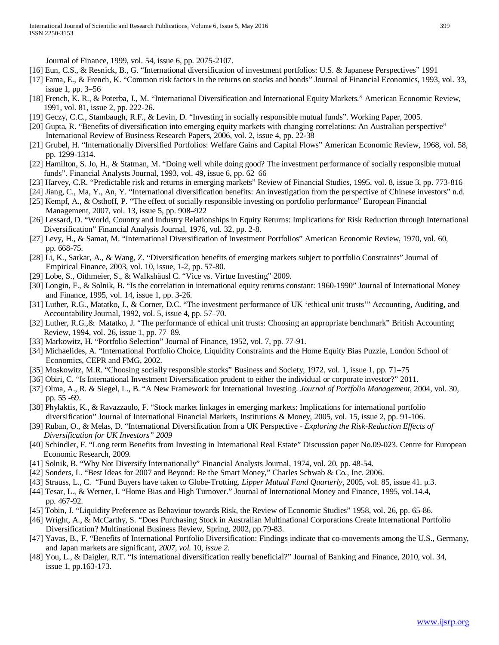Journal of Finance, 1999, vol. 54, issue 6, pp. 2075-2107.

- [16] Eun, C.S., & Resnick, B., G. "International diversification of investment portfolios: U.S. & Japanese Perspectives" 1991
- [17] Fama, E., & French, K. "Common risk factors in the returns on stocks and bonds" Journal of Financial Economics, 1993, vol. 33, issue 1, pp. 3–56
- [18] French, K. R., & Poterba, J., M. "International Diversification and International Equity Markets." American Economic Review, 1991, vol. 81, issue 2, pp. 222-26.
- [19] Geczy, C.C., Stambaugh, R.F., & Levin, D. "Investing in socially responsible mutual funds". Working Paper, 2005.
- [20] Gupta, R. "Benefits of diversification into emerging equity markets with changing correlations: An Australian perspective" International Review of Business Research Papers, 2006, vol. 2, issue 4, pp. 22-38
- [21] Grubel, H. "Internationally Diversified Portfolios: Welfare Gains and Capital Flows" American Economic Review, 1968, vol. 58, pp. 1299-1314.
- [22] Hamilton, S. Jo, H., & Statman, M. "Doing well while doing good? The investment performance of socially responsible mutual funds". Financial Analysts Journal, 1993, vol. 49, issue 6, pp. 62–66
- [23] Harvey, C.R. "Predictable risk and returns in emerging markets" Review of Financial Studies, 1995, vol. 8, issue 3, pp. 773-816
- [24] Jiang, C., Ma, Y., An, Y. "International diversification benefits: An investigation from the perspective of Chinese investors" n.d.
- [25] Kempf, A., & Osthoff, P. "The effect of socially responsible investing on portfolio performance" European Financial Management, 2007, vol. 13, issue 5, pp. 908–922
- [26] Lessard, D. "World, Country and Industry Relationships in Equity Returns: Implications for Risk Reduction through International Diversification" Financial Analysis Journal, 1976, vol. 32, pp. 2-8.
- [27] Levy, H., & Samat, M. "International Diversification of Investment Portfolios" American Economic Review, 1970, vol. 60, pp. 668-75.
- [28] Li, K., Sarkar, A., & Wang, Z. "Diversification benefits of emerging markets subject to portfolio Constraints" Journal of Empirical Finance, 2003, vol. 10, issue, 1-2, pp. 57-80.
- [29] Lobe, S., Oithmeier, S., & Walkshäusl C. "Vice vs. Virtue Investing" 2009.
- [30] Longin, F., & Solnik, B. "Is the correlation in international equity returns constant: 1960-1990" Journal of International Money and Finance, 1995, vol. 14, issue 1, pp. 3-26.
- [31] Luther, R.G., Matatko, J., & Corner, D.C. "The investment performance of UK 'ethical unit trusts'" Accounting, Auditing, and Accountability Journal, 1992, vol. 5, issue 4, pp. 57–70.
- [32] Luther, R.G.,& Matatko, J. "The performance of ethical unit trusts: Choosing an appropriate benchmark" British Accounting Review, 1994, vol. 26, issue 1, pp. 77–89.
- [33] Markowitz, H. "Portfolio Selection" Journal of Finance, 1952, vol. 7, pp. 77-91.
- [34] Michaelides, A. "International Portfolio Choice, Liquidity Constraints and the Home Equity Bias Puzzle, London School of Economics, CEPR and FMG, 2002.
- [35] Moskowitz, M.R. "Choosing socially responsible stocks" Business and Society, 1972, vol. 1, issue 1, pp. 71–75
- [36] Obiri, C. "Is International Investment Diversification prudent to either the individual or corporate investor?" 2011.
- [37] Olma, A., R. & Siegel, L., B. "A New Framework for International Investing. *Journal of Portfolio Management*, 2004, vol. 30, pp. 55 -69.
- [38] Phylaktis, K., & Ravazzaolo, F. "Stock market linkages in emerging markets: Implications for international portfolio diversification" Journal of International Financial Markets, Institutions & Money, 2005, vol. 15, issue 2, pp. 91-106.
- [39] Ruban, O., & Melas, D. "International Diversification from a UK Perspective *Exploring the Risk-Reduction Effects of Diversification for UK Investors" 2009*
- [40] Schindler, F. "Long term Benefits from Investing in International Real Estate" Discussion paper No.09-023. Centre for European Economic Research, 2009.
- [41] Solnik, B. "Why Not Diversify Internationally" Financial Analysts Journal, 1974, vol. 20, pp. 48-54.
- [42] Sonders, L. "Best Ideas for 2007 and [Beyond:](http://www.schwab.com/public/schwab/research_strategies/market_insight/investing_strategies/portfolio_planning/be_the_smart_money.html?cmsid=P-1654150&lvl1=research_strategies&lvl2=market_insight&refid=P-1058699&refpid=P-994228.) Be the Smart Money," Charles Schwab & Co., Inc. 2006.
- [43] Strauss, L., C. "Fund Buyers have taken to Globe-Trotting. *Lipper Mutual Fund Quarterly*, 2005, vol. 85, issue 41. p.3.
- [44] Tesar, L., & Werner, I. "Home Bias and High Turnover." Journal of International Money and Finance, 1995, vol.14.4, pp. 467-92.
- [45] Tobin, J. "Liquidity Preference as Behaviour towards Risk, the Review of Economic Studies" 1958, vol. 26, pp. 65-86.
- [46] Wright, A., & McCarthy, S. "Does Purchasing Stock in Australian Multinational Corporations Create International Portfolio Diversification? Multinational Business Review, Spring, 2002, pp.79-83.
- [47] Yavas, B., F. "Benefits of International Portfolio Diversification: Findings indicate that co-movements among the U.S., Germany, and Japan markets are significant, *2007, vol.* 10*, issue 2.*
- [48] You, L., & Daigler, R.T. "Is international diversification really beneficial?" Journal of Banking and Finance, 2010, vol. 34, issue 1, pp.163-173.